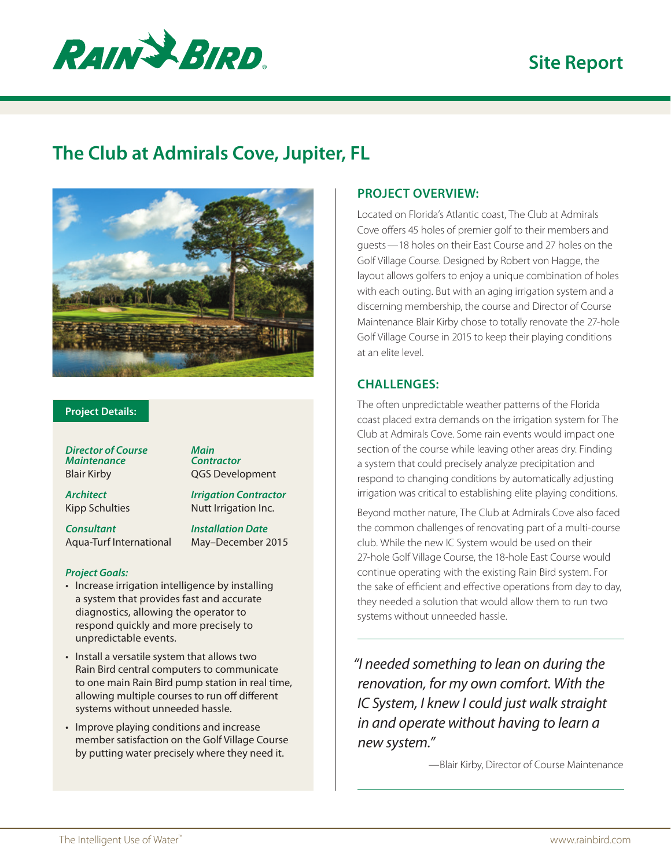# **Site Report**



## **The Club at Admirals Cove, Jupiter, FL**



#### **Project Details:**

*Director of Course Maintenance* Blair Kirby

*Main Contractor* QGS Development

*Architect* Kipp Schulties

*Consultant* Aqua-Turf International *Irrigation Contractor* Nutt Irrigation Inc.

*Installation Date* May–December 2015

#### *Project Goals:*

- Increase irrigation intelligence by installing a system that provides fast and accurate diagnostics, allowing the operator to respond quickly and more precisely to unpredictable events.
- Install a versatile system that allows two Rain Bird central computers to communicate to one main Rain Bird pump station in real time, allowing multiple courses to run off different systems without unneeded hassle.
- Improve playing conditions and increase member satisfaction on the Golf Village Course by putting water precisely where they need it.

### **PROJECT OVERVIEW:**

Located on Florida's Atlantic coast, The Club at Admirals Cove offers 45 holes of premier golf to their members and guests—18 holes on their East Course and 27 holes on the Golf Village Course. Designed by Robert von Hagge, the layout allows golfers to enjoy a unique combination of holes with each outing. But with an aging irrigation system and a discerning membership, the course and Director of Course Maintenance Blair Kirby chose to totally renovate the 27-hole Golf Village Course in 2015 to keep their playing conditions at an elite level.

#### **CHALLENGES:**

The often unpredictable weather patterns of the Florida coast placed extra demands on the irrigation system for The Club at Admirals Cove. Some rain events would impact one section of the course while leaving other areas dry. Finding a system that could precisely analyze precipitation and respond to changing conditions by automatically adjusting irrigation was critical to establishing elite playing conditions.

Beyond mother nature, The Club at Admirals Cove also faced the common challenges of renovating part of a multi-course club. While the new IC System would be used on their 27-hole Golf Village Course, the 18-hole East Course would continue operating with the existing Rain Bird system. For the sake of efficient and effective operations from day to day, they needed a solution that would allow them to run two systems without unneeded hassle.

*"I needed something to lean on during the renovation, for my own comfort. With the IC System, I knew I could just walk straight in and operate without having to learn a new system."*

—Blair Kirby, Director of Course Maintenance